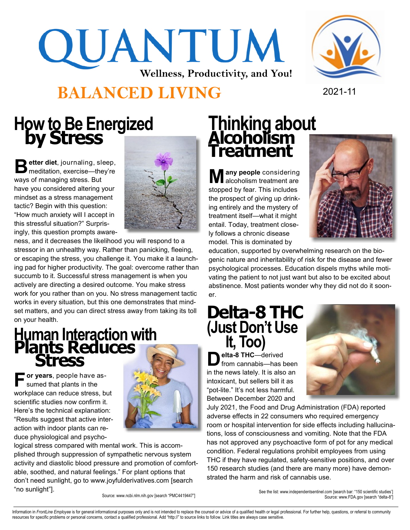## QUANTUM **Wellness, Productivity, and You!**



#### **BALANCED LIVING** 2021-11

#### **How to Be Energized by Stress**

Better diet, journaling, sleep,<br> **B** meditation, exercise—they're **etter diet**, journaling, sleep, ways of managing stress. But have you considered altering your mindset as a stress management tactic? Begin with this question: "How much anxiety will I accept in this stressful situation?" Surprisingly, this question prompts aware-



ness, and it decreases the likelihood you will respond to a stressor in an unhealthy way. Rather than panicking, fleeing, or escaping the stress, you challenge it. You make it a launching pad for higher productivity. The goal: overcome rather than succumb to it. Successful stress management is when you actively are directing a desired outcome. You make stress work for you rather than on you. No stress management tactic works in every situation, but this one demonstrates that mindset matters, and you can direct stress away from taking its toll on your health.

### **Human Interaction with Plants Reduces Stress**

**F or years**, people have assumed that plants in the workplace can reduce stress, but scientific studies now confirm it. Here's the technical explanation: "Results suggest that active interaction with indoor plants can reduce physiological and psycho-



logical stress compared with mental work. This is accomplished through suppression of sympathetic nervous system activity and diastolic blood pressure and promotion of comfortable, soothed, and natural feelings." For plant options that don't need sunlight, go to www.joyfulderivatives.com [search "no sunlight"].

#### **Thinking about Alcoholism Treatment**

**M** any people considering<br>alcoholism treatment are **any people** considering stopped by fear. This includes the prospect of giving up drinking entirely and the mystery of treatment itself—what it might entail. Today, treatment closely follows a chronic disease model. This is dominated by



education, supported by overwhelming research on the biogenic nature and inheritability of risk for the disease and fewer psychological processes. Education dispels myths while motivating the patient to not just want but also to be excited about abstinence. Most patients wonder why they did not do it sooner.

#### **Delta-8 THC (Just Don't Use It, Too)**

 $\sum$  elta-8 THC—derived<br>from cannabis—has b from cannabis—has been in the news lately. It is also an intoxicant, but sellers bill it as "pot-lite." It's not less harmful. Between December 2020 and



July 2021, the Food and Drug Administration (FDA) reported adverse effects in 22 consumers who required emergency room or hospital intervention for side effects including hallucinations, loss of consciousness and vomiting. Note that the FDA has not approved any psychoactive form of pot for any medical condition. Federal regulations prohibit employees from using THC if they have regulated, safety-sensitive positions, and over 150 research studies (and there are many more) have demonstrated the harm and risk of cannabis use.

See the list: www.independentsentinel.com [search bar: "150 scientific studies'] Source: www.ncbi.nlm.nih.gov [search "PMC4419447"] Source: www.FDA.gov [search "delta-8"]

Information in FrontLine Employee is for general informational purposes only and is not intended to replace the counsel or advice of a qualified health or legal professional. For further help, questions, or referral to com resources for specific problems or personal concerns, contact a qualified professional. Add "http://" to source links to follow. Link titles are always case sensitive.